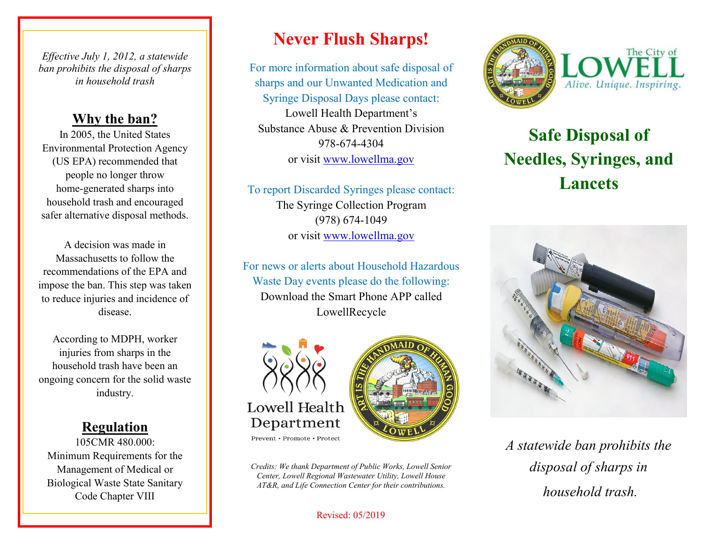*Effective July 1, 2012, a statewide ban prohibits the disposal of sharps in household trash*

#### **Why the ban?**

In 2005, the United States Environmental Protection Agency (US EPA) recommended that people no longer throw home-generated sharps into household trash and encouraged safer alternative disposal methods.

A decision was made in Massachusetts to follow the recommendations of the EPA and impose the ban. This step was taken to reduce injuries and incidence of disease.

According to MDPH, worker injuries from sharps in the household trash have been an ongoing concern for the solid waste industry.

### **Regulation**

105CMR 480.000: Minimum Requirements for the Management of Medical or Biological Waste State Sanitary Code Chapter VIII

# **Never Flush Sharps!**

For more information about safe disposal of sharps and our Unwanted Medication and Syringe Disposal Days please contact: Lowell Health Department's Substance Abuse & Prevention Division 978-674-4304 or visit www.lowellma.gov

To report Discarded Syringes please contact: The Syringe Collection Program (978) 674-1049 or visit www.lowellma.gov

For news or alerts about Household Hazardous Waste Day events please do the following: Download the Smart Phone APP called LowellRecycle





Prevent · Promote · Protect

*Credits: We thank Department of Public Works, Lowell Senior Center, Lowell Regional Wastewater Utility, Lowell House AT&R, and Life Connection Center for their contributions.* 

#### Revised: 05/2019



# **Safe Disposal of Needles, Syringes, and Lancets**



*A statewide ban prohibits the disposal of sharps in household trash.*